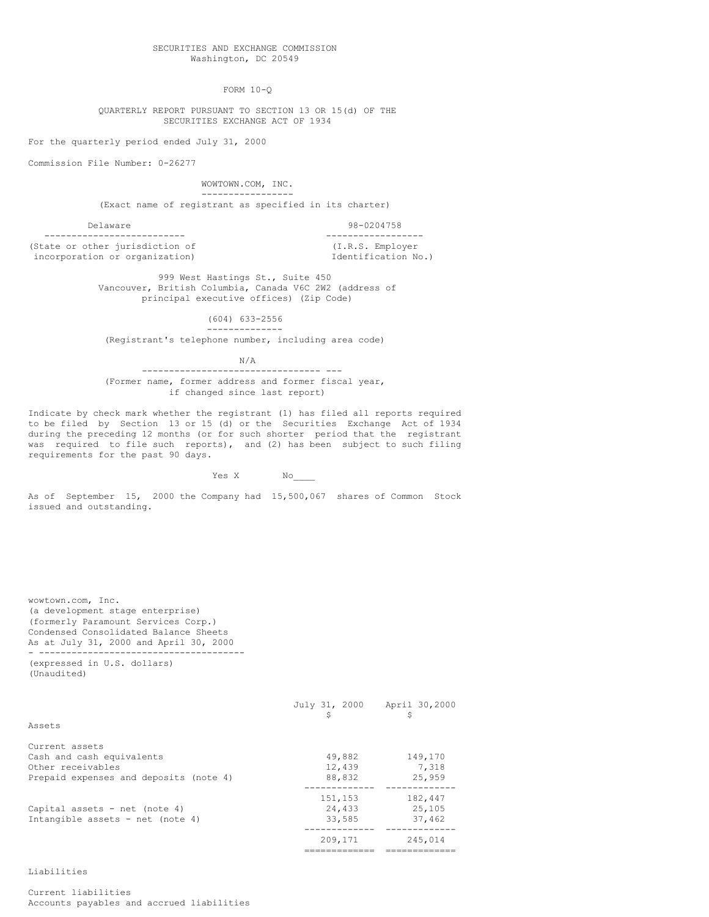FORM 10-Q

QUARTERLY REPORT PURSUANT TO SECTION 13 OR 15(d) OF THE SECURITIES EXCHANGE ACT OF 1934

For the quarterly period ended July 31, 2000

Commission File Number: 0-26277

WOWTOWN.COM, INC. ----------------- (Exact name of registrant as specified in its charter)

Delaware 98-0204758 -------------------------- ------------------ (State or other jurisdiction of  $(1,R.S.$  Employer incorporation or organization)  $\qquad \qquad$  Identification No.) incorporation or organization)

999 West Hastings St., Suite 450 Vancouver, British Columbia, Canada V6C 2W2 (address of principal executive offices) (Zip Code)

> (604) 633-2556 --------------

(Registrant's telephone number, including area code)

N/A --------------------------------- ---

(Former name, former address and former fiscal year, if changed since last report)

Indicate by check mark whether the registrant (1) has filed all reports required to be filed by Section 13 or 15 (d) or the Securities Exchange Act of 1934 during the preceding 12 months (or for such shorter period that the registrant was required to file such reports), and (2) has been subject to such filing requirements for the past 90 days.

Yes X No\_\_\_\_

As of September 15, 2000 the Company had 15,500,067 shares of Common Stock issued and outstanding.

wowtown.com, Inc. (a development stage enterprise) (formerly Paramount Services Corp.) Condensed Consolidated Balance Sheets As at July 31, 2000 and April 30, 2000 - -------------------------------------- (expressed in U.S. dollars)

(Unaudited)

|                                        | July 31, 2000 | April 30,2000<br>\$ |
|----------------------------------------|---------------|---------------------|
| Assets                                 |               |                     |
| Current assets                         |               |                     |
| Cash and cash equivalents              | 49,882        | 149,170             |
| Other receivables                      | 12,439        | 7.318               |
| Prepaid expenses and deposits (note 4) | 88,832        | 25,959              |
|                                        | 151,153       | 182,447             |
| Capital assets - net (note 4)          | 24,433        | 25,105              |
| Intangible assets - net (note 4)       | 33,585        | 37,462              |
|                                        |               |                     |
|                                        | 209,171       | 245,014             |
|                                        | -------       |                     |

Liabilities

Current liabilities Accounts payables and accrued liabilities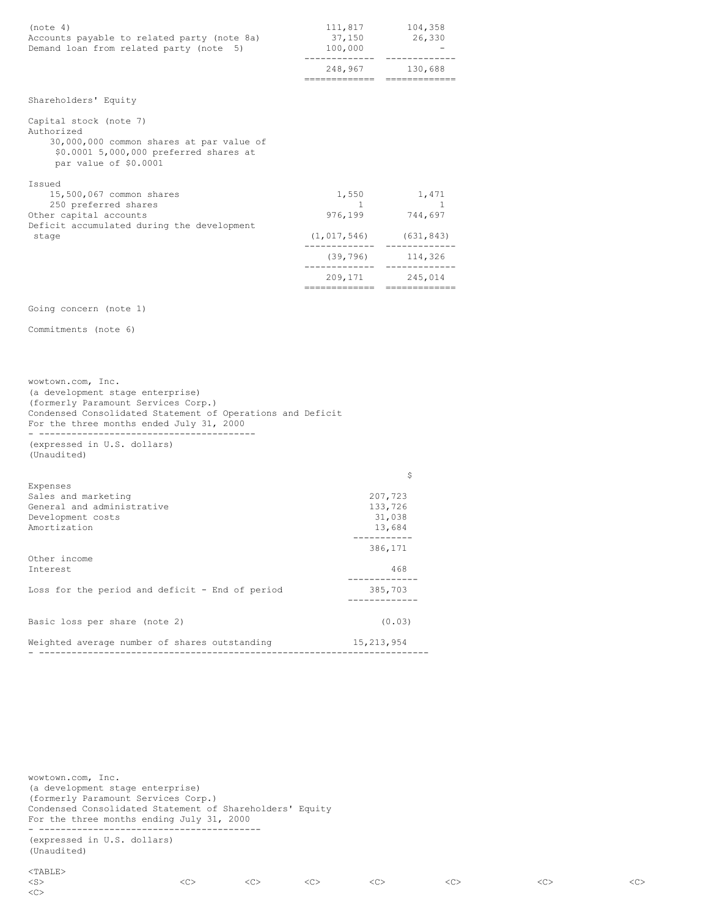| (note 4)<br>Accounts payable to related party (note 8a)<br>Demand loan from related party (note 5)                                                  | 111,817<br>37,150<br>100,000                                  | 104,358<br>26,330         |
|-----------------------------------------------------------------------------------------------------------------------------------------------------|---------------------------------------------------------------|---------------------------|
|                                                                                                                                                     | 248,967<br>--------------                                     | 130,688<br>============== |
| Shareholders' Equity                                                                                                                                |                                                               |                           |
| Capital stock (note 7)<br>Authorized<br>30,000,000 common shares at par value of<br>\$0.0001 5,000,000 preferred shares at<br>par value of \$0.0001 |                                                               |                           |
| Issued<br>15,500,067 common shares<br>250 preferred shares<br>Other capital accounts<br>Deficit accumulated during the development<br>stage         | 1,550<br>$\mathbb{R}$<br>976,199<br>$(1, 017, 546)$ (631,843) | 1,471<br>744,697          |
|                                                                                                                                                     |                                                               | $(39, 796)$ 114,326       |
|                                                                                                                                                     | 209,171                                                       | 245,014                   |
| Going concern (note 1)                                                                                                                              |                                                               |                           |
| Commitments (note 6)                                                                                                                                |                                                               |                           |

wowtown.com, Inc. (a development stage enterprise) (formerly Paramount Services Corp.) Condensed Consolidated Statement of Operations and Deficit For the three months ended July 31, 2000 - ---------------------------------------- (expressed in U.S. dollars)

(Unaudited)

| Expenses                                        | \$                |
|-------------------------------------------------|-------------------|
| Sales and marketing                             | 207,723           |
| General and administrative                      | 133,726<br>31,038 |
| Development costs<br>Amortization               | 13,684            |
|                                                 | 386,171           |
| Other income<br>Interest                        | 468               |
| Loss for the period and deficit - End of period | 385,703           |
| Basic loss per share (note 2)                   | (0.03)            |
| Weighted average number of shares outstanding   | 15, 213, 954      |

wowtown.com, Inc. (a development stage enterprise) (formerly Paramount Services Corp.) Condensed Consolidated Statement of Shareholders' Equity For the three months ending July 31, 2000 - -----------------------------------------

# (expressed in U.S. dollars) (Unaudited)

 $\mathopen{<} \mathbb{C} \mathclose{>}$ 

| <s></s> |  |  |  |  |  |  |  |
|---------|--|--|--|--|--|--|--|
|---------|--|--|--|--|--|--|--|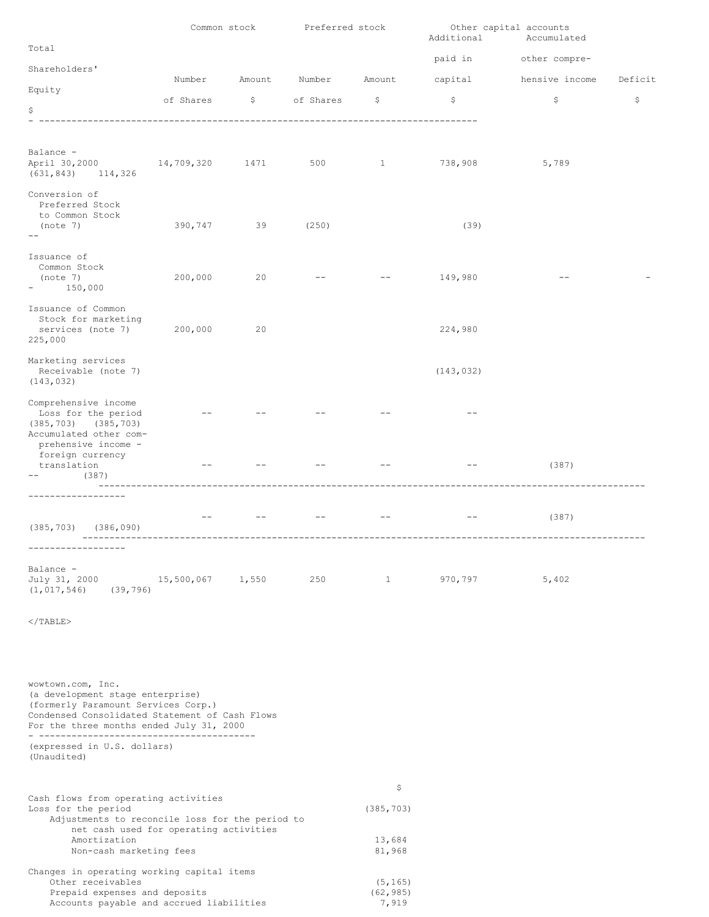|                                                                                                                                                                                            | Common stock                                     |        | Preferred stock |                            | Additional | Other capital accounts<br>Accumulated |         |
|--------------------------------------------------------------------------------------------------------------------------------------------------------------------------------------------|--------------------------------------------------|--------|-----------------|----------------------------|------------|---------------------------------------|---------|
| Total                                                                                                                                                                                      |                                                  |        |                 |                            | paid in    | other compre-                         |         |
| Shareholders'                                                                                                                                                                              | Number                                           | Amount | Number          |                            |            |                                       |         |
| Equity                                                                                                                                                                                     |                                                  |        |                 | Amount                     | capital    | hensive income                        | Deficit |
| \$                                                                                                                                                                                         | of Shares<br>----------------------------------- |        | \$ of Shares    | \$                         | \$         | \$                                    | \$      |
|                                                                                                                                                                                            |                                                  |        |                 |                            |            |                                       |         |
| Balance -<br>April 30,2000<br>(631, 843)<br>114,326                                                                                                                                        | 14,709,320                                       | 1471   | 500             | $\mathbf{1}$               | 738,908    | 5,789                                 |         |
| Conversion of<br>Preferred Stock<br>to Common Stock<br>(note 7)<br>$ -$                                                                                                                    | 390,747                                          | 39     | (250)           |                            | (39)       |                                       |         |
| Issuance of<br>Common Stock<br>(note 7)<br>150,000<br>$\overline{\phantom{a}}$                                                                                                             | 200,000                                          | 20     |                 |                            | 149,980    |                                       |         |
| Issuance of Common<br>Stock for marketing<br>services (note 7)<br>225,000                                                                                                                  | 200,000                                          | 20     |                 |                            | 224,980    |                                       |         |
| Marketing services<br>Receivable (note 7)<br>(143, 032)                                                                                                                                    |                                                  |        |                 |                            | (143, 032) |                                       |         |
| Comprehensive income<br>Loss for the period<br>$(385, 703)$ $(385, 703)$<br>Accumulated other com-<br>prehensive income -                                                                  |                                                  |        |                 |                            |            |                                       |         |
| foreign currency<br>translation<br>(387)                                                                                                                                                   |                                                  |        |                 |                            |            | (387)                                 |         |
| (385, 703)<br>(386, 090)<br>------------------                                                                                                                                             |                                                  |        |                 |                            |            | (387)                                 |         |
| Balance -<br>July 31, 2000<br>(1, 017, 546)<br>(39, 796)                                                                                                                                   | 15,500,067 1,550                                 |        |                 | $250$ 1                    | 970,797    | 5,402                                 |         |
| $<$ /TABLE>                                                                                                                                                                                |                                                  |        |                 |                            |            |                                       |         |
| wowtown.com, Inc.<br>(a development stage enterprise)<br>(formerly Paramount Services Corp.)<br>Condensed Consolidated Statement of Cash Flows<br>For the three months ended July 31, 2000 |                                                  |        |                 |                            |            |                                       |         |
| (expressed in U.S. dollars)<br>(Unaudited)                                                                                                                                                 |                                                  |        |                 |                            |            |                                       |         |
| Cash flows from operating activities<br>Loss for the period<br>Adjustments to reconcile loss for the period to<br>net cash used for operating activities<br>Amortization                   |                                                  |        |                 | \$<br>(385, 703)<br>13,684 |            |                                       |         |
| Non-cash marketing fees                                                                                                                                                                    |                                                  |        |                 | 81,968                     |            |                                       |         |
| Changes in operating working capital items                                                                                                                                                 |                                                  |        |                 |                            |            |                                       |         |

Other receivables (5,165) Prepaid expenses and deposits (62,985) Accounts payable and accrued liabilities  $\begin{array}{ccc} \text{7, 919} \end{array}$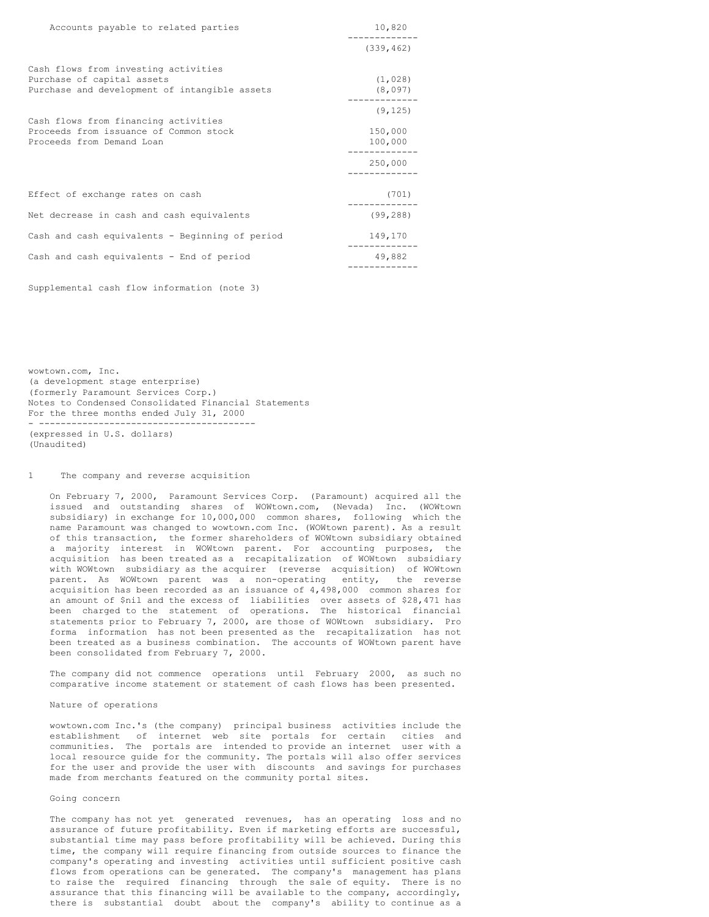| Accounts payable to related parties                                                                                 | 10,820                         |
|---------------------------------------------------------------------------------------------------------------------|--------------------------------|
|                                                                                                                     | (339, 462)                     |
| Cash flows from investing activities<br>Purchase of capital assets<br>Purchase and development of intangible assets | (1, 028)<br>(8,097)            |
| Cash flows from financing activities<br>Proceeds from issuance of Common stock<br>Proceeds from Demand Loan         | (9, 125)<br>150,000<br>100,000 |
|                                                                                                                     | 250,000                        |
| Effect of exchange rates on cash                                                                                    | (701)                          |
| Net decrease in cash and cash equivalents                                                                           | (99, 288)                      |
| Cash and cash equivalents - Beginning of period                                                                     | 149,170                        |
| Cash and cash equivalents - End of period                                                                           | 49,882                         |

Supplemental cash flow information (note 3)

wowtown.com, Inc. (a development stage enterprise) (formerly Paramount Services Corp.) Notes to Condensed Consolidated Financial Statements For the three months ended July 31, 2000 - ---------------------------------------- (expressed in U.S. dollars) (Unaudited)

# 1 The company and reverse acquisition

On February 7, 2000, Paramount Services Corp. (Paramount) acquired all the issued and outstanding shares of WOWtown.com, (Nevada) Inc. (WOWtown subsidiary) in exchange for 10,000,000 common shares, following which the name Paramount was changed to wowtown.com Inc. (WOWtown parent). As a result of this transaction, the former shareholders of WOWtown subsidiary obtained a majority interest in WOWtown parent. For accounting purposes, the acquisition has been treated as a recapitalization of WOWtown subsidiary with WOWtown subsidiary as the acquirer (reverse acquisition) of WOWtown parent. As WOWtown parent was a non-operating entity, the reverse acquisition has been recorded as an issuance of 4,498,000 common shares for an amount of \$nil and the excess of liabilities over assets of \$28,471 has been charged to the statement of operations. The historical financial statements prior to February 7, 2000, are those of WOWtown subsidiary. Pro forma information has not been presented as the recapitalization has not been treated as a business combination. The accounts of WOWtown parent have been consolidated from February 7, 2000.

The company did not commence operations until February 2000, as such no comparative income statement or statement of cash flows has been presented.

#### Nature of operations

wowtown.com Inc.'s (the company) principal business activities include the establishment of internet web site portals for certain cities and communities. The portals are intended to provide an internet user with a local resource guide for the community. The portals will also offer services for the user and provide the user with discounts and savings for purchases made from merchants featured on the community portal sites.

### Going concern

The company has not yet generated revenues, has an operating loss and no assurance of future profitability. Even if marketing efforts are successful, substantial time may pass before profitability will be achieved. During this time, the company will require financing from outside sources to finance the company's operating and investing activities until sufficient positive cash flows from operations can be generated. The company's management has plans to raise the required financing through the sale of equity. There is no assurance that this financing will be available to the company, accordingly, there is substantial doubt about the company's ability to continue as a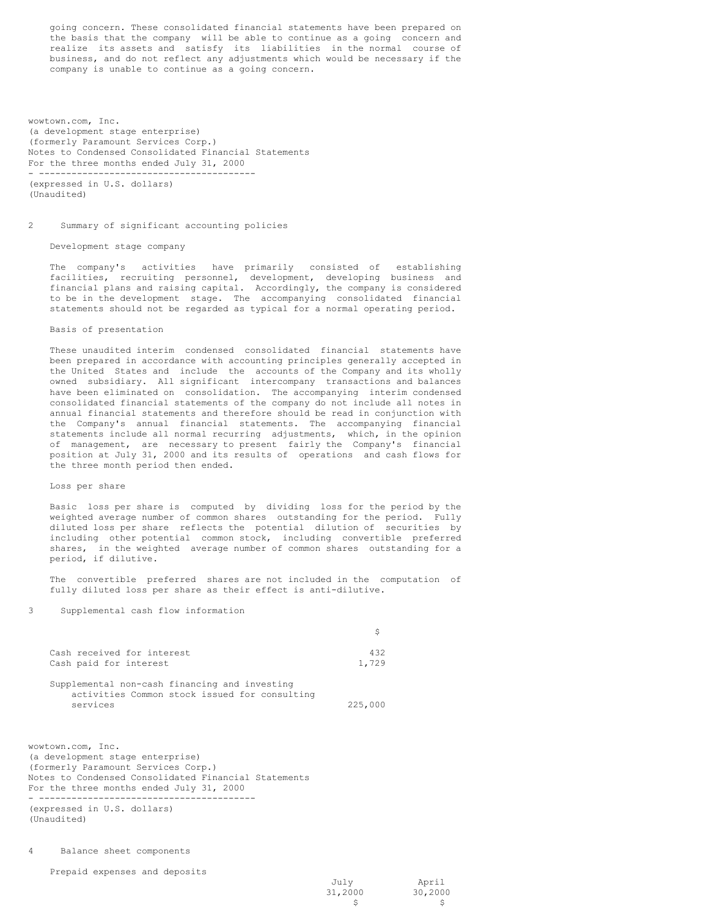going concern. These consolidated financial statements have been prepared on the basis that the company will be able to continue as a going concern and realize its assets and satisfy its liabilities in the normal course of business, and do not reflect any adjustments which would be necessary if the company is unable to continue as a going concern.

wowtown.com, Inc. (a development stage enterprise) (formerly Paramount Services Corp.) Notes to Condensed Consolidated Financial Statements For the three months ended July 31, 2000 - ----------------------------------------

(expressed in U.S. dollars) (Unaudited)

#### 2 Summary of significant accounting policies

Development stage company

The company's activities have primarily consisted of establishing facilities, recruiting personnel, development, developing business and financial plans and raising capital. Accordingly, the company is considered to be in the development stage. The accompanying consolidated financial statements should not be regarded as typical for a normal operating period.

# Basis of presentation

These unaudited interim condensed consolidated financial statements have been prepared in accordance with accounting principles generally accepted in the United States and include the accounts of the Company and its wholly owned subsidiary. All significant intercompany transactions and balances have been eliminated on consolidation. The accompanying interim condensed consolidated financial statements of the company do not include all notes in annual financial statements and therefore should be read in conjunction with the Company's annual financial statements. The accompanying financial statements include all normal recurring adjustments, which, in the opinion of management, are necessary to present fairly the Company's financial position at July 31, 2000 and its results of operations and cash flows for the three month period then ended.

#### Loss per share

Basic loss per share is computed by dividing loss for the period by the weighted average number of common shares outstanding for the period. Fully diluted loss per share reflects the potential dilution of securities by including other potential common stock, including convertible preferred shares, in the weighted average number of common shares outstanding for a period, if dilutive.

The convertible preferred shares are not included in the computation of fully diluted loss per share as their effect is anti-dilutive.

# 3 Supplemental cash flow information

| Cash received for interest<br>Cash paid for interest                                                       | 432<br>1,729 |
|------------------------------------------------------------------------------------------------------------|--------------|
| Supplemental non-cash financing and investing<br>activities Common stock issued for consulting<br>services | 225,000      |

wowtown.com, Inc. (a development stage enterprise) (formerly Paramount Services Corp.) Notes to Condensed Consolidated Financial Statements For the three months ended July 31, 2000 - ---------------------------------------- (expressed in U.S. dollars) (Unaudited)

4 Balance sheet components

Prepaid expenses and deposits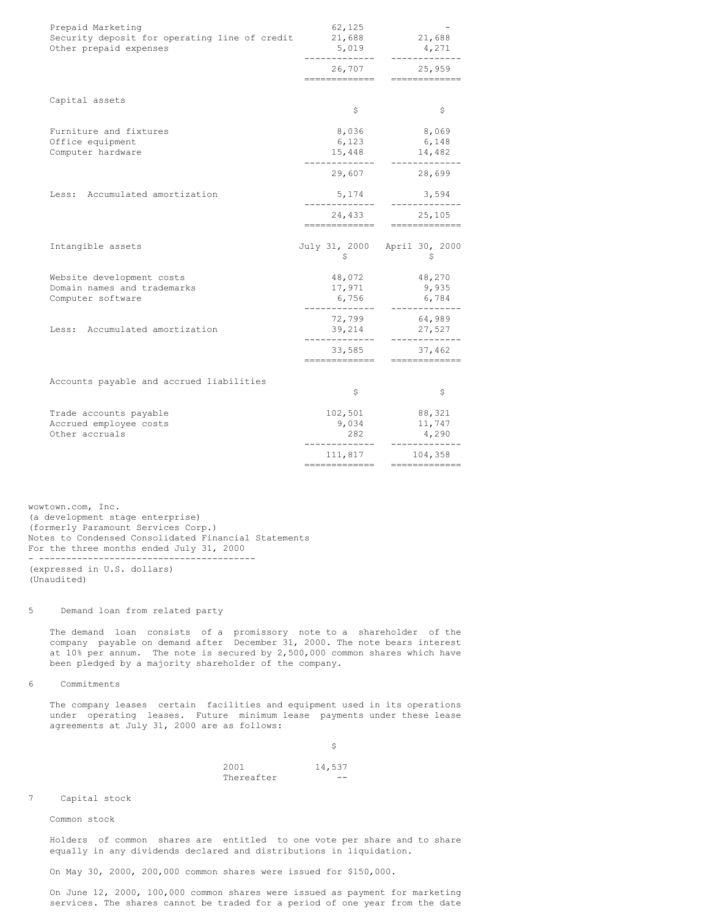| Prepaid Marketing<br>Security deposit for operating line of credit<br>Other prepaid expenses | 62,125<br>21,688<br>5,019                          | 21,688<br>4,271<br>---------            |
|----------------------------------------------------------------------------------------------|----------------------------------------------------|-----------------------------------------|
|                                                                                              | 26,707<br>--------------                           | 25,959<br>=============                 |
| Capital assets                                                                               | \$                                                 | \$                                      |
| Furniture and fixtures<br>Office equipment<br>Computer hardware                              | 8,036<br>6,123<br>15,448                           | 8,069<br>6,148<br>14,482<br>----------- |
|                                                                                              |                                                    | 29,607 28,699                           |
| Less: Accumulated amortization                                                               | 5,174                                              | 3,594                                   |
|                                                                                              | -------------                                      | 24,433 25,105<br>--------------         |
| Intangible assets                                                                            | \$                                                 | July 31, 2000 April 30, 2000<br>S       |
| Website development costs<br>Domain names and trademarks<br>Computer software                | 48,072<br>17,971<br>6,756<br>-----------           | 48,270<br>9,935<br>6,784<br>.           |
| Less: Accumulated amortization                                                               | 72,799<br>39,214                                   | 64,989<br>27,527                        |
|                                                                                              | 33,585<br>-------------                            | 37,462                                  |
| Accounts payable and accrued liabilities                                                     | \$                                                 | \$                                      |
| Trade accounts payable<br>Accrued employee costs<br>Other accruals                           | 102,501<br>9,034<br>282<br>. _ _ _ _ _ _ _ _ _ _ _ | 88,321<br>11,747<br>4,290<br>-------    |
|                                                                                              | 111,817<br>--------------                          | 104,358<br>===========                  |
|                                                                                              |                                                    |                                         |

wowtown.com, Inc. (a development stage enterprise) (formerly Paramount Services Corp.) Notes to Condensed Consolidated Financial Statements For the three months ended July 31, 2000 - ---------------------------------------- (expressed in U.S. dollars) (Unaudited)

# 5 Demand loan from related party

The demand loan consists of a promissory note to a shareholder of the company payable on demand after December 31, 2000. The note bears interest at 10% per annum. The note is secured by 2,500,000 common shares which have been pledged by a majority shareholder of the company.

6 Commitments

The company leases certain facilities and equipment used in its operations under operating leases. Future minimum lease payments under these lease agreements at July 31, 2000 are as follows:

> $\ddot{s}$ 2001 14,537 Thereafter --

7 Capital stock

Common stock

Holders of common shares are entitled to one vote per share and to share equally in any dividends declared and distributions in liquidation.

On May 30, 2000, 200,000 common shares were issued for \$150,000.

On June 12, 2000, 100,000 common shares were issued as payment for marketing services. The shares cannot be traded for a period of one year from the date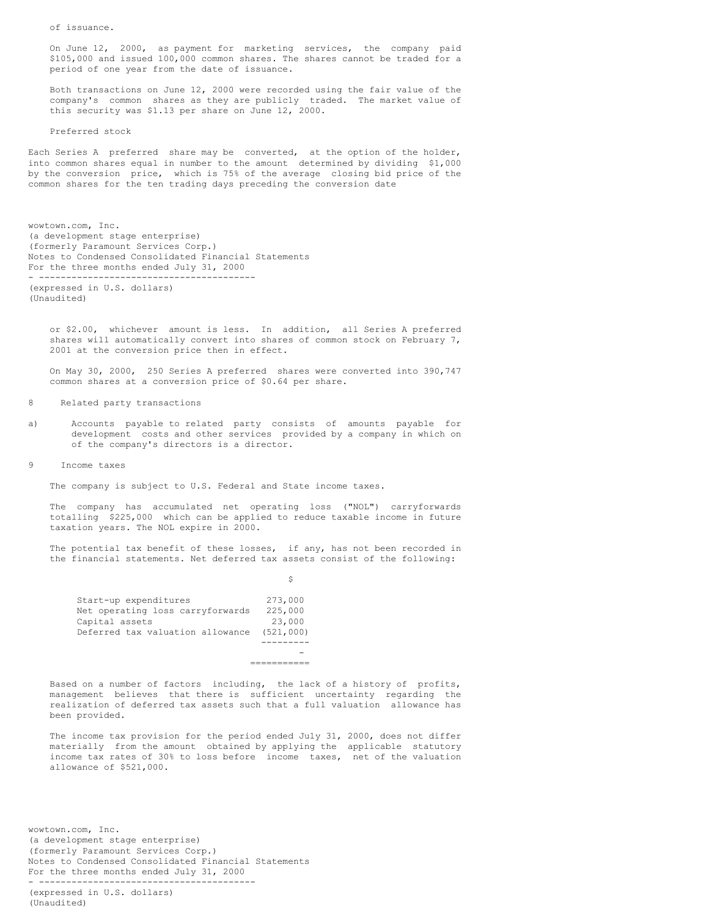of issuance.

On June 12, 2000, as payment for marketing services, the company paid \$105,000 and issued 100,000 common shares. The shares cannot be traded for a period of one year from the date of issuance.

Both transactions on June 12, 2000 were recorded using the fair value of the company's common shares as they are publicly traded. The market value of this security was \$1.13 per share on June 12, 2000.

Preferred stock

Each Series A preferred share may be converted, at the option of the holder, into common shares equal in number to the amount determined by dividing \$1,000 by the conversion price, which is 75% of the average closing bid price of the common shares for the ten trading days preceding the conversion date

wowtown.com, Inc. (a development stage enterprise) (formerly Paramount Services Corp.) Notes to Condensed Consolidated Financial Statements For the three months ended July 31, 2000 - ---------------------------------------- (expressed in U.S. dollars) (Unaudited)

or \$2.00, whichever amount is less. In addition, all Series A preferred shares will automatically convert into shares of common stock on February 7, 2001 at the conversion price then in effect.

On May 30, 2000, 250 Series A preferred shares were converted into 390,747 common shares at a conversion price of \$0.64 per share.

8 Related party transactions

a) Accounts payable to related party consists of amounts payable for development costs and other services provided by a company in which on of the company's directors is a director.

9 Income taxes

The company is subject to U.S. Federal and State income taxes.

The company has accumulated net operating loss ("NOL") carryforwards totalling \$225,000 which can be applied to reduce taxable income in future taxation years. The NOL expire in 2000.

The potential tax benefit of these losses, if any, has not been recorded in the financial statements. Net deferred tax assets consist of the following:

\$

| Start-up expenditures            | 273,000   |
|----------------------------------|-----------|
| Net operating loss carryforwards | 225,000   |
| Capital assets                   | 23,000    |
| Deferred tax valuation allowance | (521,000) |
|                                  |           |
|                                  |           |
|                                  |           |

Based on a number of factors including, the lack of a history of profits, management believes that there is sufficient uncertainty regarding the realization of deferred tax assets such that a full valuation allowance has been provided.

The income tax provision for the period ended July 31, 2000, does not differ materially from the amount obtained by applying the applicable statutory income tax rates of 30% to loss before income taxes, net of the valuation allowance of \$521,000.

wowtown.com, Inc. (a development stage enterprise) (formerly Paramount Services Corp.) Notes to Condensed Consolidated Financial Statements For the three months ended July 31, 2000 - ----------------------------------------

(expressed in U.S. dollars) (Unaudited)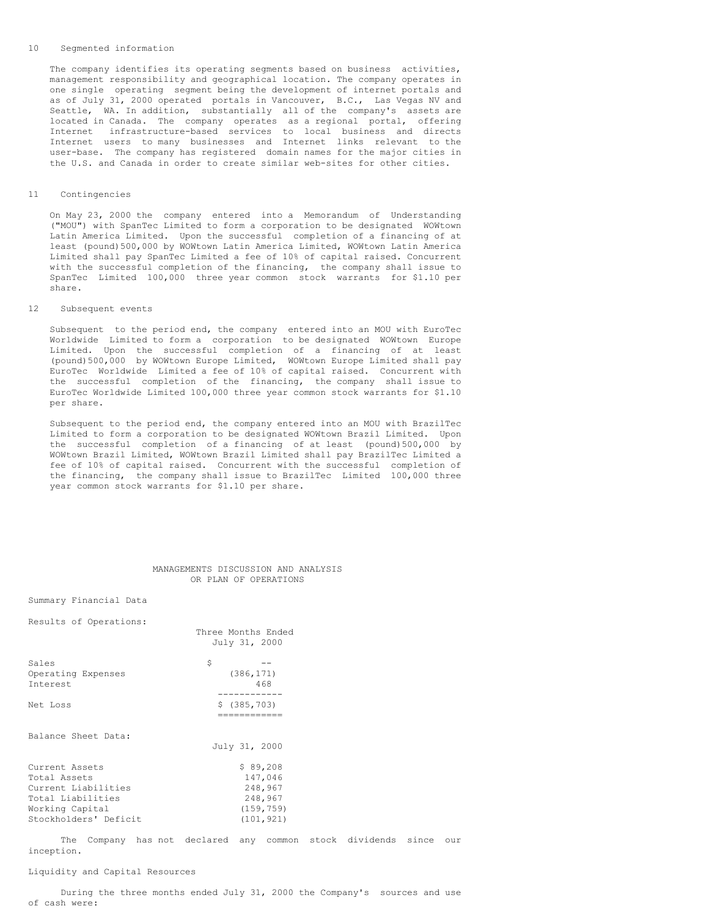#### 10 Segmented information

The company identifies its operating segments based on business activities, management responsibility and geographical location. The company operates in one single operating segment being the development of internet portals and as of July 31, 2000 operated portals in Vancouver, B.C., Las Vegas NV and Seattle, WA. In addition, substantially all of the company's assets are located in Canada. The company operates as a regional portal, offering Internet infrastructure-based services to local business and directs Internet users to many businesses and Internet links relevant to the user-base. The company has registered domain names for the major cities in the U.S. and Canada in order to create similar web-sites for other cities.

### 11 Contingencies

On May 23, 2000 the company entered into a Memorandum of Understanding ("MOU") with SpanTec Limited to form a corporation to be designated WOWtown Latin America Limited. Upon the successful completion of a financing of at least (pound)500,000 by WOWtown Latin America Limited, WOWtown Latin America Limited shall pay SpanTec Limited a fee of 10% of capital raised. Concurrent with the successful completion of the financing, the company shall issue to SpanTec Limited 100,000 three year common stock warrants for \$1.10 per share.

#### 12 Subsequent events

Subsequent to the period end, the company entered into an MOU with EuroTec Worldwide Limited to form a corporation to be designated WOWtown Europe Limited. Upon the successful completion of a financing of at least (pound)500,000 by WOWtown Europe Limited, WOWtown Europe Limited shall pay EuroTec Worldwide Limited a fee of 10% of capital raised. Concurrent with the successful completion of the financing, the company shall issue to EuroTec Worldwide Limited 100,000 three year common stock warrants for \$1.10 per share.

Subsequent to the period end, the company entered into an MOU with BrazilTec Limited to form a corporation to be designated WOWtown Brazil Limited. Upon the successful completion of a financing of at least (pound)500,000 by WOWtown Brazil Limited, WOWtown Brazil Limited shall pay BrazilTec Limited a fee of 10% of capital raised. Concurrent with the successful completion of the financing, the company shall issue to BrazilTec Limited 100,000 three year common stock warrants for \$1.10 per share.

## MANAGEMENTS DISCUSSION AND ANALYSIS OR PLAN OF OPERATIONS

Summary Financial Data

| Results of Operations:                                                                                                 | Three Months Ended<br>July 31, 2000                                   |
|------------------------------------------------------------------------------------------------------------------------|-----------------------------------------------------------------------|
| Sales<br>Operating Expenses<br>Interest                                                                                | \$<br>(386, 171)<br>468                                               |
| Net Loss                                                                                                               | \$ (385, 703)<br>============                                         |
| Balance Sheet Data:                                                                                                    | July 31, 2000                                                         |
| Current Assets<br>Total Assets<br>Current Liabilities<br>Total Liabilities<br>Working Capital<br>Stockholders' Deficit | \$89,208<br>147,046<br>248,967<br>248,967<br>(159, 759)<br>(101, 921) |

The Company has not declared any common stock dividends since our inception.

# Liquidity and Capital Resources

During the three months ended July 31, 2000 the Company's sources and use of cash were: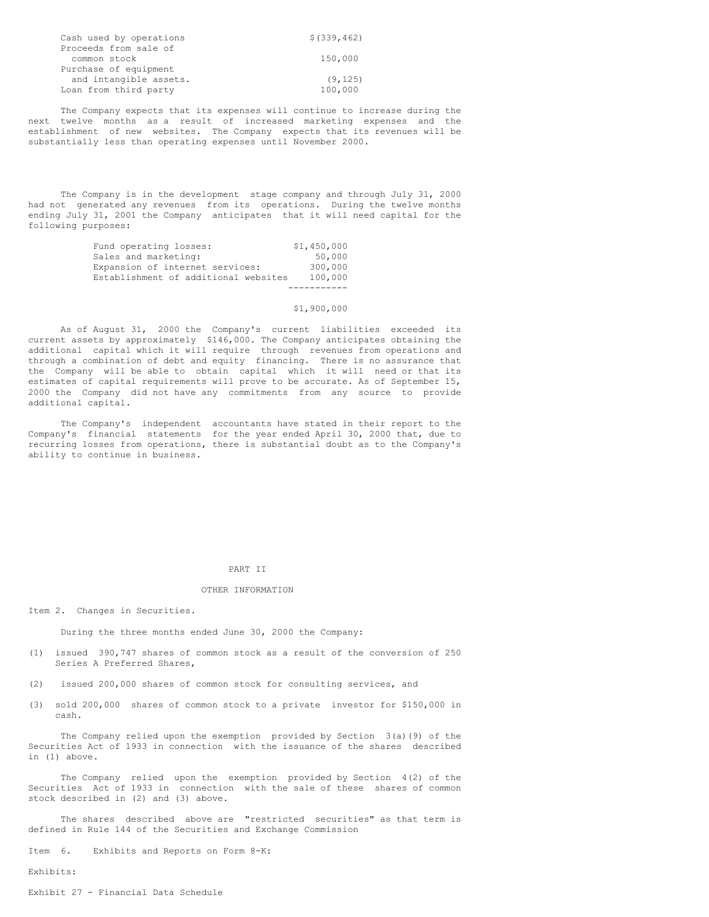| Cash used by operations | \$ (339, 462) |
|-------------------------|---------------|
| Proceeds from sale of   |               |
| common stock            | 150,000       |
| Purchase of equipment   |               |
| and intangible assets.  | (9, 125)      |
| Loan from third party   | 100,000       |

The Company expects that its expenses will continue to increase during the next twelve months as a result of increased marketing expenses and the establishment of new websites. The Company expects that its revenues will be substantially less than operating expenses until November 2000.

The Company is in the development stage company and through July 31, 2000 had not generated any revenues from its operations. During the twelve months ending July 31, 2001 the Company anticipates that it will need capital for the following purposes:

| Fund operating losses:               | \$1,450,000 |
|--------------------------------------|-------------|
| Sales and marketing:                 | 50,000      |
| Expansion of internet services:      | 300,000     |
| Establishment of additional websites | 100,000     |
|                                      |             |

## \$1,900,000

As of August 31, 2000 the Company's current liabilities exceeded its current assets by approximately \$146,000. The Company anticipates obtaining the additional capital which it will require through revenues from operations and through a combination of debt and equity financing. There is no assurance that the Company will be able to obtain capital which it will need or that its estimates of capital requirements will prove to be accurate. As of September 15, 2000 the Company did not have any commitments from any source to provide additional capital.

The Company's independent accountants have stated in their report to the Company's financial statements for the year ended April 30, 2000 that, due to recurring losses from operations, there is substantial doubt as to the Company's ability to continue in business.

# PART II

## OTHER INFORMATION

Item 2. Changes in Securities.

During the three months ended June 30, 2000 the Company:

- (1) issued 390,747 shares of common stock as a result of the conversion of 250 Series A Preferred Shares,
- (2) issued 200,000 shares of common stock for consulting services, and
- (3) sold 200,000 shares of common stock to a private investor for \$150,000 in cash.

The Company relied upon the exemption provided by Section 3(a)(9) of the Securities Act of 1933 in connection with the issuance of the shares described in (1) above.

The Company relied upon the exemption provided by Section 4(2) of the Securities Act of 1933 in connection with the sale of these shares of common stock described in (2) and (3) above.

The shares described above are "restricted securities" as that term is defined in Rule 144 of the Securities and Exchange Commission

Item 6. Exhibits and Reports on Form 8-K:

Exhibits:

Exhibit 27 - Financial Data Schedule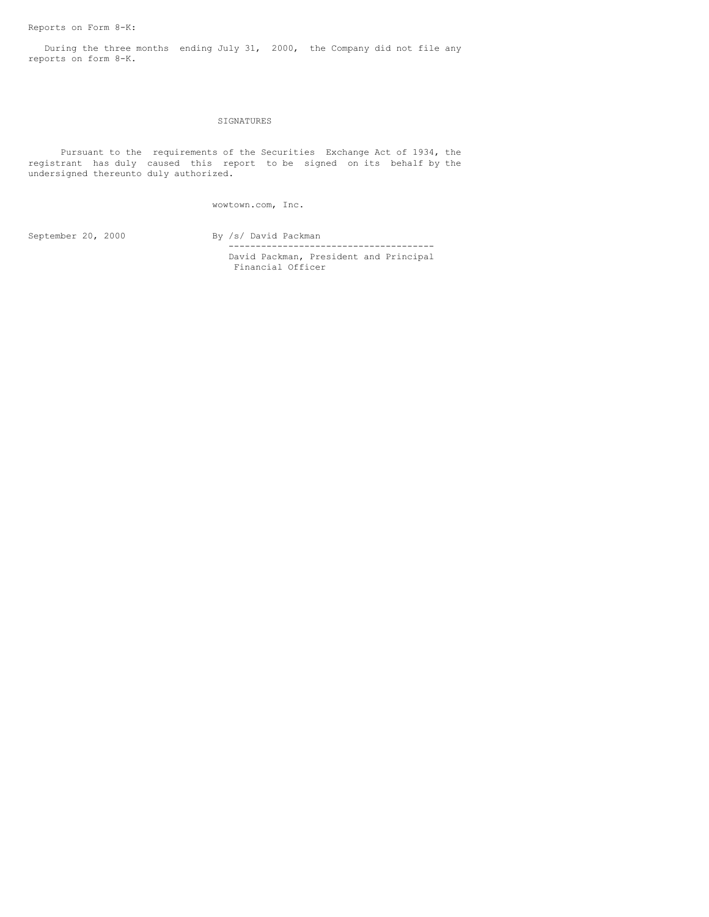During the three months ending July 31, 2000, the Company did not file any reports on form 8-K.

# SIGNATURES

Pursuant to the requirements of the Securities Exchange Act of 1934, the registrant has duly caused this report to be signed on its behalf by the undersigned thereunto duly authorized.

wowtown.com, Inc.

September 20, 2000 By /s/ David Packman -------------------------------------- David Packman, President and Principal

Financial Officer